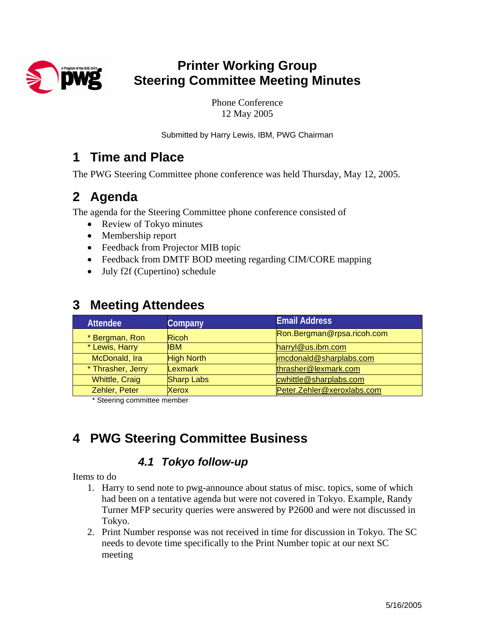

# **Printer Working Group Steering Committee Meeting Minutes**

Phone Conference 12 May 2005

Submitted by Harry Lewis, IBM, PWG Chairman

## **1 Time and Place**

The PWG Steering Committee phone conference was held Thursday, May 12, 2005.

## **2 Agenda**

The agenda for the Steering Committee phone conference consisted of

- Review of Tokyo minutes
- Membership report
- Feedback from Projector MIB topic
- Feedback from DMTF BOD meeting regarding CIM/CORE mapping
- July f2f (Cupertino) schedule

| <b>Attendee</b>       | Company           | <b>Email Address</b>       |
|-----------------------|-------------------|----------------------------|
| * Bergman, Ron        | <b>Ricoh</b>      | Ron.Bergman@rpsa.ricoh.com |
| * Lewis, Harry        | <b>IBM</b>        | harryl@us.ibm.com          |
| McDonald, Ira         | <b>High North</b> | imcdonald@sharplabs.com    |
| * Thrasher, Jerry     | Lexmark           | thrasher@lexmark.com       |
| <b>Whittle, Craig</b> | <b>Sharp Labs</b> | cwhittle@sharplabs.com     |
| Zehler, Peter         | <b>Xerox</b>      | Peter.Zehler@xeroxlabs.com |

## **3 Meeting Attendees**

\* Steering committee member

# **4 PWG Steering Committee Business**

#### *4.1 Tokyo follow-up*

Items to do

- 1. Harry to send note to pwg-announce about status of misc. topics, some of which had been on a tentative agenda but were not covered in Tokyo. Example, Randy Turner MFP security queries were answered by P2600 and were not discussed in Tokyo.
- 2. Print Number response was not received in time for discussion in Tokyo. The SC needs to devote time specifically to the Print Number topic at our next SC meeting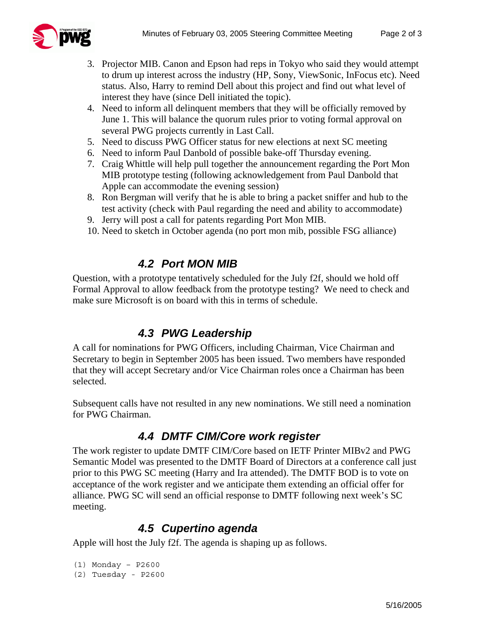

- 3. Projector MIB. Canon and Epson had reps in Tokyo who said they would attempt to drum up interest across the industry (HP, Sony, ViewSonic, InFocus etc). Need status. Also, Harry to remind Dell about this project and find out what level of interest they have (since Dell initiated the topic).
- 4. Need to inform all delinquent members that they will be officially removed by June 1. This will balance the quorum rules prior to voting formal approval on several PWG projects currently in Last Call.
- 5. Need to discuss PWG Officer status for new elections at next SC meeting
- 6. Need to inform Paul Danbold of possible bake-off Thursday evening.
- 7. Craig Whittle will help pull together the announcement regarding the Port Mon MIB prototype testing (following acknowledgement from Paul Danbold that Apple can accommodate the evening session)
- 8. Ron Bergman will verify that he is able to bring a packet sniffer and hub to the test activity (check with Paul regarding the need and ability to accommodate)
- 9. Jerry will post a call for patents regarding Port Mon MIB.
- 10. Need to sketch in October agenda (no port mon mib, possible FSG alliance)

#### *4.2 Port MON MIB*

Question, with a prototype tentatively scheduled for the July f2f, should we hold off Formal Approval to allow feedback from the prototype testing? We need to check and make sure Microsoft is on board with this in terms of schedule.

#### *4.3 PWG Leadership*

A call for nominations for PWG Officers, including Chairman, Vice Chairman and Secretary to begin in September 2005 has been issued. Two members have responded that they will accept Secretary and/or Vice Chairman roles once a Chairman has been selected.

Subsequent calls have not resulted in any new nominations. We still need a nomination for PWG Chairman.

#### *4.4 DMTF CIM/Core work register*

The work register to update DMTF CIM/Core based on IETF Printer MIBv2 and PWG Semantic Model was presented to the DMTF Board of Directors at a conference call just prior to this PWG SC meeting (Harry and Ira attended). The DMTF BOD is to vote on acceptance of the work register and we anticipate them extending an official offer for alliance. PWG SC will send an official response to DMTF following next week's SC meeting.

#### *4.5 Cupertino agenda*

Apple will host the July f2f. The agenda is shaping up as follows.

```
(1) Monday – P2600
```

```
(2) Tuesday - P2600
```